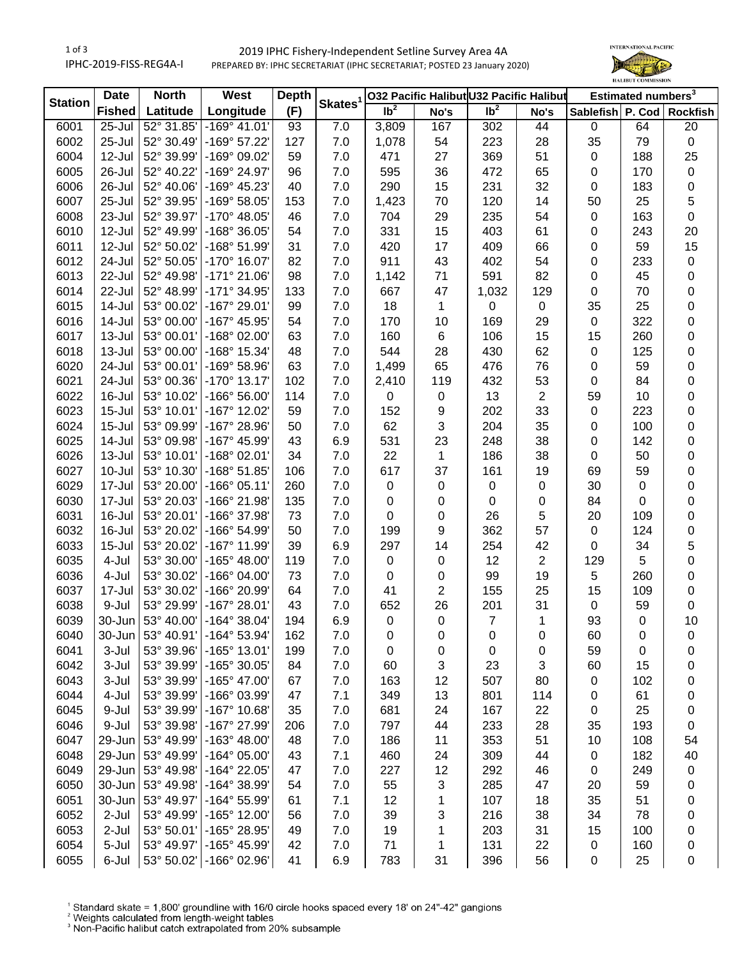## 1 of 3 IPHC-2019-FISS-REG4A-I 2019 IPHC Fishery-Independent Setline Survey Area 4A PREPARED BY: IPHC SECRETARIAT (IPHC SECRETARIAT; POSTED 23 January 2020)



| <b>Station</b> | <b>North</b><br><b>Date</b> |            | West                  | <b>Depth</b> | Skates <sup>1</sup> | 032 Pacific Halibut U32 Pacific Halibut |                |                 |                | Estimated numbers <sup>3</sup> |     |           |
|----------------|-----------------------------|------------|-----------------------|--------------|---------------------|-----------------------------------------|----------------|-----------------|----------------|--------------------------------|-----|-----------|
|                | <b>Fished</b>               | Latitude   | Longitude             | (F)          |                     | Ib <sup>2</sup>                         | No's           | Ib <sup>2</sup> | No's           | Sablefish P. Cod Rockfish      |     |           |
| 6001           | 25-Jul                      | 52° 31.85' | $-169°$ 41.01         | 93           | 7.0                 | 3,809                                   | 167            | 302             | 44             | $\mathbf 0$                    | 64  | 20        |
| 6002           | 25-Jul                      | 52° 30.49' | -169° 57.22'          | 127          | 7.0                 | 1,078                                   | 54             | 223             | 28             | 35                             | 79  | $\pmb{0}$ |
| 6004           | 12-Jul                      | 52° 39.99' | -169° 09.02'          | 59           | 7.0                 | 471                                     | 27             | 369             | 51             | 0                              | 188 | 25        |
| 6005           | 26-Jul                      | 52° 40.22' | -169° 24.97'          | 96           | 7.0                 | 595                                     | 36             | 472             | 65             | 0                              | 170 | $\pmb{0}$ |
| 6006           | 26-Jul                      | 52° 40.06' | -169° 45.23'          | 40           | 7.0                 | 290                                     | 15             | 231             | 32             | 0                              | 183 | 0         |
| 6007           | 25-Jul                      | 52° 39.95' | -169° 58.05'          | 153          | 7.0                 | 1,423                                   | 70             | 120             | 14             | 50                             | 25  | 5         |
| 6008           | 23-Jul                      | 52° 39.97' | -170° 48.05'          | 46           | 7.0                 | 704                                     | 29             | 235             | 54             | 0                              | 163 | 0         |
| 6010           | 12-Jul                      | 52° 49.99' | -168° 36.05'          | 54           | 7.0                 | 331                                     | 15             | 403             | 61             | 0                              | 243 | 20        |
| 6011           | $12$ -Jul                   | 52° 50.02' | -168° 51.99'          | 31           | 7.0                 | 420                                     | 17             | 409             | 66             | 0                              | 59  | 15        |
| 6012           | 24-Jul                      | 52° 50.05' | -170° 16.07'          | 82           | 7.0                 | 911                                     | 43             | 402             | 54             | 0                              | 233 | $\pmb{0}$ |
| 6013           | 22-Jul                      | 52° 49.98' | $-171°$ 21.06'        | 98           | 7.0                 | 1,142                                   | 71             | 591             | 82             | 0                              | 45  | 0         |
| 6014           | 22-Jul                      | 52° 48.99' | -171° 34.95'          | 133          | 7.0                 | 667                                     | 47             | 1,032           | 129            | 0                              | 70  | 0         |
| 6015           | 14-Jul                      | 53° 00.02' | -167° 29.01'          | 99           | 7.0                 | 18                                      | 1              | 0               | $\mathbf 0$    | 35                             | 25  | 0         |
| 6016           | 14-Jul                      | 53° 00.00' | -167° 45.95'          | 54           | 7.0                 | 170                                     | 10             | 169             | 29             | 0                              | 322 | 0         |
| 6017           | $13 -$ Jul                  | 53° 00.01' | -168° 02.00'          | 63           | 7.0                 | 160                                     | 6              | 106             | 15             | 15                             | 260 | 0         |
| 6018           | $13 -$ Jul                  | 53° 00.00' | -168° 15.34'          | 48           | 7.0                 | 544                                     | 28             | 430             | 62             | 0                              | 125 | 0         |
| 6020           | 24-Jul                      | 53° 00.01' | -169° 58.96'          | 63           | 7.0                 | 1,499                                   | 65             | 476             | 76             | 0                              | 59  | 0         |
| 6021           | 24-Jul                      | 53° 00.36' | $-170^{\circ}$ 13.17' | 102          | 7.0                 | 2,410                                   | 119            | 432             | 53             | 0                              | 84  | 0         |
| 6022           | 16-Jul                      | 53° 10.02' | $-166°56.00'$         | 114          | 7.0                 | 0                                       | 0              | 13              | $\overline{2}$ | 59                             | 10  | 0         |
| 6023           | $15 -$ Jul                  | 53° 10.01' | -167° 12.02'          | 59           | 7.0                 | 152                                     | 9              | 202             | 33             | 0                              | 223 | 0         |
| 6024           | $15 -$ Jul                  | 53° 09.99' | -167° 28.96'          | 50           | 7.0                 | 62                                      | 3              | 204             | 35             | 0                              | 100 | 0         |
| 6025           | $14$ -Jul                   | 53° 09.98' | -167° 45.99'          | 43           | 6.9                 | 531                                     | 23             | 248             | 38             | 0                              | 142 | 0         |
| 6026           | $13 -$ Jul                  | 53° 10.01' | $-168°02.01'$         | 34           | 7.0                 | 22                                      | 1              | 186             | 38             | 0                              | 50  | 0         |
| 6027           | $10 -$ Jul                  | 53° 10.30' | -168° 51.85'          | 106          | 7.0                 | 617                                     | 37             | 161             | 19             | 69                             | 59  | 0         |
| 6029           | 17-Jul                      | 53° 20.00' | $-166°05.11'$         | 260          | 7.0                 | 0                                       | 0              | $\pmb{0}$       | 0              | 30                             | 0   | 0         |
| 6030           | 17-Jul                      | 53° 20.03' | -166° 21.98'          | 135          | 7.0                 | 0                                       | 0              | 0               | 0              | 84                             | 0   | 0         |
| 6031           | 16-Jul                      | 53° 20.01' | -166° 37.98'          | 73           | 7.0                 | 0                                       | 0              | 26              | 5              | 20                             | 109 | 0         |
| 6032           | 16-Jul                      | 53° 20.02' | -166° 54.99'          | 50           | 7.0                 | 199                                     | 9              | 362             | 57             | 0                              | 124 | 0         |
| 6033           | $15 -$ Jul                  | 53° 20.02' | -167° 11.99'          | 39           | 6.9                 | 297                                     | 14             | 254             | 42             | 0                              | 34  | 5         |
| 6035           | 4-Jul                       | 53° 30.00' | $-165^{\circ}$ 48.00' | 119          | 7.0                 | $\pmb{0}$                               | $\pmb{0}$      | 12              | $\overline{2}$ | 129                            | 5   | 0         |
| 6036           | 4-Jul                       | 53° 30.02' | $-166^{\circ}$ 04.00' | 73           | 7.0                 | 0                                       | 0              | 99              | 19             | 5                              | 260 | 0         |
| 6037           | 17-Jul                      | 53° 30.02' | -166° 20.99'          | 64           | 7.0                 | 41                                      | $\overline{2}$ | 155             | 25             | 15                             | 109 | $\pmb{0}$ |
| 6038           | 9-Jul                       | 53° 29.99' | -167° 28.01'          | 43           | 7.0                 | 652                                     | 26             | 201             | 31             | 0                              | 59  | $\pmb{0}$ |
| 6039           | 30-Jun                      | 53° 40.00' | -164° 38.04'          | 194          | 6.9                 | 0                                       | $\mathbf 0$    | $\overline{7}$  | 1              | 93                             | 0   | 10        |
| 6040           | 30-Jun                      | 53° 40.91' | $-164^{\circ}$ 53.94' | 162          | 7.0                 | 0                                       | 0              | 0               | 0              | 60                             | 0   | 0         |
| 6041           | 3-Jul                       | 53° 39.96' | $-165°$ 13.01'        | 199          | 7.0                 | 0                                       | 0              | 0               | 0              | 59                             | 0   | 0         |
| 6042           | 3-Jul                       | 53° 39.99' | -165° 30.05'          | 84           | 7.0                 | 60                                      | 3              | 23              | 3              | 60                             | 15  | 0         |
| 6043           | 3-Jul                       | 53° 39.99' | -165° 47.00'          | 67           | 7.0                 | 163                                     | 12             | 507             | 80             | 0                              | 102 | 0         |
| 6044           | 4-Jul                       | 53° 39.99' | -166° 03.99'          | 47           | 7.1                 | 349                                     | 13             | 801             | 114            | 0                              | 61  | 0         |
| 6045           | 9-Jul                       | 53° 39.99' | -167° 10.68'          | 35           | 7.0                 | 681                                     | 24             | 167             | 22             | 0                              | 25  | 0         |
| 6046           | 9-Jul                       | 53° 39.98' | -167° 27.99'          | 206          | 7.0                 | 797                                     | 44             | 233             | 28             | 35                             | 193 | 0         |
|                |                             | 53° 49.99' | $-163^{\circ}$ 48.00' |              |                     |                                         |                |                 |                |                                | 108 |           |
| 6047           | 29-Jun                      | 53° 49.99' |                       | 48           | 7.0                 | 186                                     | 11             | 353             | 51             | 10                             |     | 54        |
| 6048           | 29-Jun<br>29-Jun            |            | $-164^{\circ}$ 05.00' | 43           | 7.1                 | 460                                     | 24             | 309             | 44             | 0                              | 182 | 40        |
| 6049           |                             | 53° 49.98' | -164° 22.05'          | 47           | 7.0                 | 227                                     | 12             | 292             | 46             | 0                              | 249 | $\pmb{0}$ |
| 6050           | 30-Jun                      | 53° 49.98' | -164° 38.99'          | 54           | 7.0                 | 55                                      | 3              | 285             | 47             | 20                             | 59  | 0         |
| 6051           | 30-Jun                      | 53° 49.97' | -164° 55.99'          | 61           | 7.1                 | 12                                      | 1              | 107             | 18             | 35                             | 51  | 0         |
| 6052           | $2-Jul$                     | 53° 49.99' | -165° 12.00'          | 56           | 7.0                 | 39                                      | 3              | 216             | 38             | 34                             | 78  | 0         |
| 6053           | $2-Jul$                     | 53° 50.01' | -165° 28.95'          | 49           | 7.0                 | 19                                      | 1              | 203             | 31             | 15                             | 100 | 0         |
| 6054           | 5-Jul                       | 53° 49.97' | -165° 45.99'          | 42           | 7.0                 | 71                                      | 1              | 131             | 22             | 0                              | 160 | 0         |
| 6055           | 6-Jul                       | 53° 50.02' | -166° 02.96'          | 41           | 6.9                 | 783                                     | 31             | 396             | 56             | 0                              | 25  | 0         |

<sup>1</sup> Standard skate = 1,800' groundline with 16/0 circle hooks spaced every 18' on 24"-42" gangions <sup>2</sup> Weights calculated from length-weight tables<br><sup>2</sup> Weights calculated from length-weight tables<br><sup>3</sup> Non-Pacific halibut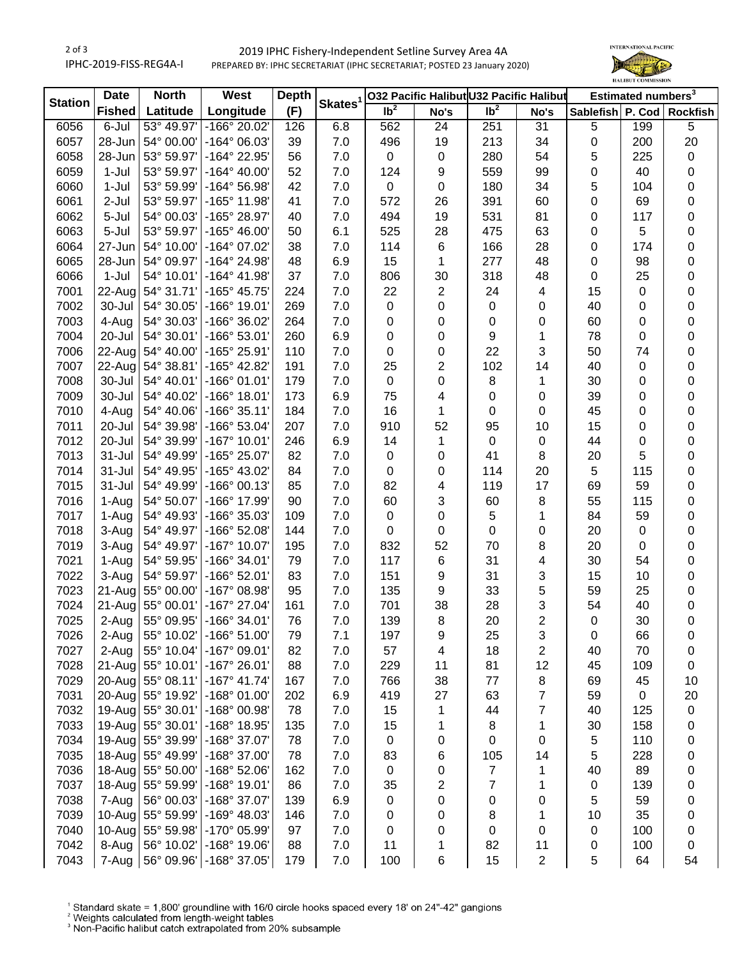## 2 of 3 IPHC-2019-FISS-REG4A-I 2019 IPHC Fishery-Independent Setline Survey Area 4A PREPARED BY: IPHC SECRETARIAT (IPHC SECRETARIAT; POSTED 23 January 2020)



| <b>Station</b> | <b>Date</b>   | <b>North</b>      | <b>West</b>                       | <b>Depth</b> | Skates <sup>1</sup> | 032 Pacific Halibut U32 Pacific Halibut |                         |                 |                         | Estimated numbers <sup>3</sup> |     |    |  |
|----------------|---------------|-------------------|-----------------------------------|--------------|---------------------|-----------------------------------------|-------------------------|-----------------|-------------------------|--------------------------------|-----|----|--|
|                | <b>Fished</b> | Latitude          | Longitude                         | (F)          |                     | Ib <sup>2</sup>                         | No's                    | Ib <sup>2</sup> | No's                    | Sablefish P. Cod Rockfish      |     |    |  |
| 6056           | 6-Jul         | 53° 49.97'        | -166° 20.02'                      | 126          | 6.8                 | 562                                     | 24                      | 251             | 31                      | $\,$ 5 $\,$                    | 199 | 5  |  |
| 6057           | 28-Jun        | 54° 00.00'        | -164° 06.03'                      | 39           | 7.0                 | 496                                     | 19                      | 213             | 34                      | 0                              | 200 | 20 |  |
| 6058           | 28-Jun        | 53° 59.97'        | -164° 22.95'                      | 56           | 7.0                 | 0                                       | 0                       | 280             | 54                      | 5                              | 225 | 0  |  |
| 6059           | $1-Jul$       | 53° 59.97'        | $-164^{\circ}$ 40.00'             | 52           | 7.0                 | 124                                     | 9                       | 559             | 99                      | 0                              | 40  | 0  |  |
| 6060           | 1-Jul         | 53° 59.99'        | -164° 56.98'                      | 42           | 7.0                 | 0                                       | 0                       | 180             | 34                      | 5                              | 104 | 0  |  |
| 6061           | 2-Jul         | 53° 59.97'        | -165° 11.98'                      | 41           | 7.0                 | 572                                     | 26                      | 391             | 60                      | 0                              | 69  | 0  |  |
| 6062           | 5-Jul         | 54° 00.03'        | -165° 28.97'                      | 40           | 7.0                 | 494                                     | 19                      | 531             | 81                      | 0                              | 117 | 0  |  |
| 6063           | 5-Jul         | 53° 59.97'        | $-165^{\circ}$ 46.00              | 50           | 6.1                 | 525                                     | 28                      | 475             | 63                      | 0                              | 5   | 0  |  |
| 6064           | 27-Jun        | 54° 10.00'        | -164° 07.02'                      | 38           | 7.0                 | 114                                     | 6                       | 166             | 28                      | 0                              | 174 | 0  |  |
| 6065           | 28-Jun        | 54° 09.97'        | -164° 24.98'                      | 48           | 6.9                 | 15                                      | 1                       | 277             | 48                      | 0                              | 98  | 0  |  |
| 6066           | $1-Jul$       | 54° 10.01'        | $-164^{\circ}$ 41.98'             | 37           | 7.0                 | 806                                     | 30                      | 318             | 48                      | $\pmb{0}$                      | 25  | 0  |  |
| 7001           | 22-Aug        | 54° 31.71'        | $-165^{\circ}$ 45.75'             | 224          | 7.0                 | 22                                      | $\overline{\mathbf{c}}$ | 24              | 4                       | 15                             | 0   | 0  |  |
| 7002           | 30-Jul        | 54° 30.05'        | $-166°$ 19.01                     | 269          | 7.0                 | 0                                       | 0                       | 0               | 0                       | 40                             | 0   | 0  |  |
| 7003           | 4-Aug         | 54° 30.03'        | -166° 36.02'                      | 264          | 7.0                 | 0                                       | 0                       | 0               | 0                       | 60                             | 0   | 0  |  |
| 7004           | 20-Jul        | 54° 30.01'        | -166° 53.01'                      | 260          | 6.9                 | 0                                       | 0                       | 9               | 1                       | 78                             | 0   | 0  |  |
| 7006           | 22-Aug        | 54° 40.00'        | -165° 25.91'                      | 110          | 7.0                 | 0                                       | 0                       | 22              | 3                       | 50                             | 74  | 0  |  |
| 7007           | 22-Aug        | 54° 38.81'        | -165° 42.82'                      | 191          | 7.0                 | 25                                      | 2                       | 102             | 14                      | 40                             | 0   | 0  |  |
| 7008           | 30-Jul        | 54° 40.01'        | $-166°01.01'$                     | 179          | 7.0                 | 0                                       | 0                       | 8               | 1                       | 30                             | 0   | 0  |  |
| 7009           | 30-Jul        | 54° 40.02'        | $-166°$ 18.01'                    | 173          | 6.9                 | 75                                      | 4                       | 0               | 0                       | 39                             | 0   | 0  |  |
| 7010           | 4-Aug         | 54° 40.06'        | $-166°35.11'$                     | 184          | 7.0                 | 16                                      | 1                       | 0               | 0                       | 45                             | 0   | 0  |  |
| 7011           | 20-Jul        | 54° 39.98'        | -166° 53.04'                      | 207          | 7.0                 | 910                                     | 52                      | 95              | 10                      | 15                             | 0   | 0  |  |
| 7012           | 20-Jul        | 54° 39.99'        | $-167°$ 10.01                     | 246          | 6.9                 | 14                                      | 1                       | $\mathbf 0$     | 0                       | 44                             | 0   | 0  |  |
| 7013           | $31 -$ Jul    | 54° 49.99'        | -165° 25.07'                      | 82           | 7.0                 | 0                                       | 0                       | 41              | 8                       | 20                             | 5   | 0  |  |
| 7014           | $31 -$ Jul    | 54° 49.95'        | -165° 43.02'                      | 84           | 7.0                 | 0                                       | 0                       | 114             | 20                      | 5                              | 115 | 0  |  |
| 7015           | 31-Jul        | 54° 49.99'        | $-166°00.13'$                     | 85           | 7.0                 | 82                                      | 4                       | 119             | 17                      | 69                             | 59  | 0  |  |
| 7016           | 1-Aug         | 54° 50.07'        | -166° 17.99'                      | 90           | 7.0                 | 60                                      | 3                       | 60              | 8                       | 55                             | 115 | 0  |  |
| 7017           | 1-Aug         | 54° 49.93'        | -166° 35.03'                      | 109          | 7.0                 | 0                                       | 0                       | 5               | 1                       | 84                             | 59  | 0  |  |
| 7018           | 3-Aug         | 54° 49.97'        | -166° 52.08'                      | 144          | 7.0                 | 0                                       | 0                       | 0               | 0                       | 20                             | 0   | 0  |  |
| 7019           | 3-Aug         | 54° 49.97'        | $-167^{\circ}$ 10.07              | 195          | 7.0                 | 832                                     | 52                      | 70              | 8                       | 20                             | 0   | 0  |  |
| 7021           | 1-Aug         | 54° 59.95'        | $-166°34.01'$                     | 79           | 7.0                 | 117                                     | 6                       | 31              | $\overline{\mathbf{4}}$ | 30                             | 54  | 0  |  |
| 7022           | 3-Aug         | 54° 59.97'        | -166° 52.01'                      | 83           | 7.0                 | 151                                     | 9                       | 31              | 3                       | 15                             | 10  | 0  |  |
| 7023           | 21-Aug        | 55° 00.00'        | -167° 08.98'                      | 95           | 7.0                 | 135                                     | 9                       | 33              | 5                       | 59                             | 25  | 0  |  |
| 7024           | 21-Aug        | 55° 00.01'        | -167° 27.04'                      | 161          | 7.0                 | 701                                     | 38                      | 28              | 3                       | 54                             | 40  | 0  |  |
| 7025           | 2-Aug         | 55° 09.95'        | $-166°34.01'$                     | 76           | 7.0                 | 139                                     | 8                       | 20              | $\overline{2}$          | 0                              | 30  | 0  |  |
| 7026           | 2-Aug         | 55° 10.02'        | $-166^{\circ} 51.00^{\circ}$      | 79           | 7.1                 | 197                                     | 9                       | 25              | 3                       | 0                              | 66  | 0  |  |
| 7027           | 2-Aug         | 55° 10.04'        | $-167°09.01'$                     | 82           | 7.0                 | 57                                      | 4                       | 18              | 2                       | 40                             | 70  | 0  |  |
| 7028           |               | 21-Aug 55° 10.01' | $-167°26.01'$                     | 88           | 7.0                 | 229                                     | 11                      | 81              | 12                      | 45                             | 109 | 0  |  |
| 7029           |               | 20-Aug 55° 08.11' | $-167°$ 41.74                     | 167          | 7.0                 | 766                                     | 38                      | 77              | 8                       | 69                             | 45  | 10 |  |
| 7031           |               | 20-Aug 55° 19.92' | $-168°01.00'$                     | 202          | 6.9                 | 419                                     | 27                      | 63              | 7                       | 59                             | 0   | 20 |  |
| 7032           |               | 19-Aug 55° 30.01' | -168° 00.98'                      | 78           | 7.0                 | 15                                      | 1                       | 44              | 7                       | 40                             | 125 | 0  |  |
| 7033           |               | 19-Aug 55° 30.01' | -168° 18.95'                      | 135          | 7.0                 | 15                                      | 1                       | 8               | 1                       | 30                             | 158 | 0  |  |
| 7034           |               | 19-Aug 55° 39.99' | -168° 37.07'                      | 78           | 7.0                 | 0                                       | 0                       | 0               | 0                       | $\,$ 5 $\,$                    | 110 | 0  |  |
| 7035           |               | 18-Aug 55° 49.99' | -168° 37.00'                      | 78           | 7.0                 | 83                                      | 6                       | 105             | 14                      | $\,$ 5 $\,$                    | 228 | 0  |  |
| 7036           |               | 18-Aug 55° 50.00' | $-168°52.06'$                     | 162          | 7.0                 | 0                                       | 0                       | $\overline{7}$  | 1                       | 40                             | 89  | 0  |  |
| 7037           |               | 18-Aug 55° 59.99' | -168° 19.01'                      | 86           | 7.0                 | 35                                      | 2                       | $\overline{7}$  | 1                       | $\mathbf 0$                    | 139 | 0  |  |
| 7038           | 7-Aug         | 56° 00.03'        | -168° 37.07'                      | 139          | 6.9                 | 0                                       | 0                       | 0               | 0                       | 5                              | 59  | 0  |  |
| 7039           |               | 10-Aug 55° 59.99' | -169° 48.03'                      | 146          | 7.0                 | 0                                       | 0                       | 8               | 1                       | 10                             | 35  | 0  |  |
| 7040           | $10$ -Aug     | 55° 59.98'        | -170° 05.99'                      | 97           | 7.0                 | 0                                       | 0                       | 0               | 0                       | 0                              | 100 | 0  |  |
| 7042           | 8-Aug         | 56° 10.02'        | $-168°$ 19.06'                    | 88           | 7.0                 | 11                                      | 1                       | 82              | 11                      | 0                              | 100 | 0  |  |
| 7043           |               |                   | 7-Aug   56° 09.96'   -168° 37.05' | 179          | 7.0                 | 100                                     | 6                       | 15              | $\overline{2}$          | 5                              | 64  | 54 |  |

<sup>1</sup> Standard skate = 1,800' groundline with 16/0 circle hooks spaced every 18' on 24"-42" gangions <sup>2</sup> Weights calculated from length-weight tables<br><sup>2</sup> Weights calculated from length-weight tables<br><sup>3</sup> Non-Pacific halibut